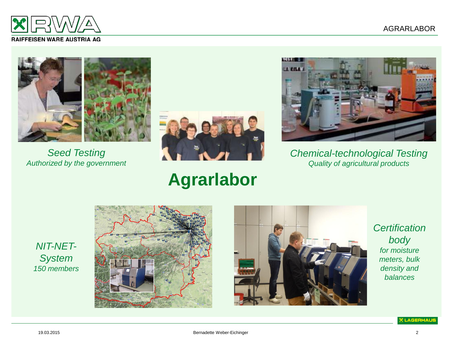

#### **RAIFFEISEN WARE AUSTRIA AG**



*Seed Testing Authorized by the government*



#### **Agrarlabor**



*Chemical-technological Testing Quality of agricultural products*

#### *NIT-NET-System 150 members*





*Certification body for moisture meters, bulk density and balances* 

**X LAGERHAUS**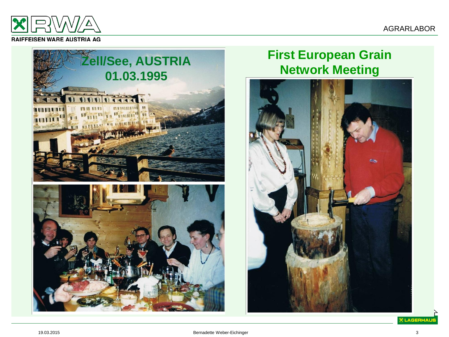

#### **RAIFFEISEN WARE AUSTRIA AG**



# **First European Grain**



**X LAGERHAUS**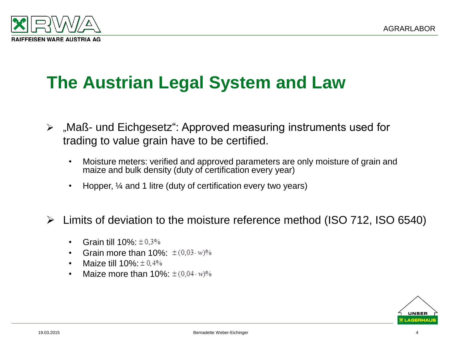

### **The Austrian Legal System and Law**

- "Maß- und Eichgesetz": Approved measuring instruments used for trading to value grain have to be certified.
	- Moisture meters: verified and approved parameters are only moisture of grain and maize and bulk density (duty of certification every year)
	- Hopper,  $\frac{1}{4}$  and 1 litre (duty of certification every two years)
- Limits of deviation to the moisture reference method (ISO 712, ISO 6540)
	- Grain till  $10\% \pm 0.3\%$
	- Grain more than  $10\%$ :  $\pm (0.03 \cdot w)\%$
	- Maize till  $10\% \pm 0.4\%$
	- Maize more than  $10\%$ :  $\pm (0.04 \cdot w)\%$

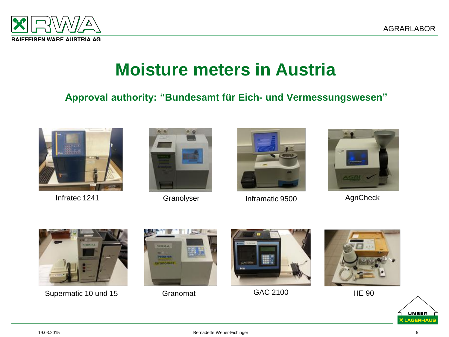

#### **Moisture meters in Austria**

#### **Approval authority: "Bundesamt für Eich- und Vermessungswesen"**







Infratec 1241 **Granolyser Inframatic 9500** AgriCheck





Supermatic 10 und 15 Granomat GAC 2100 HE 90









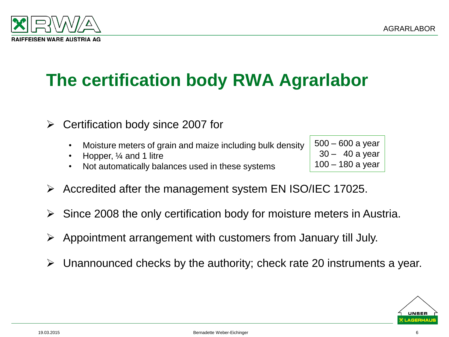

# **The certification body RWA Agrarlabor**

- $\triangleright$  Certification body since 2007 for
	- Moisture meters of grain and maize including bulk density
	- Hopper, ¼ and 1 litre
	- Not automatically balances used in these systems

500 – 600 a year 30 – 40 a year 100 – 180 a year

- Accredited after the management system EN ISO/IEC 17025.
- $\triangleright$  Since 2008 the only certification body for moisture meters in Austria.
- $\triangleright$  Appointment arrangement with customers from January till July.
- $\triangleright$  Unannounced checks by the authority; check rate 20 instruments a year.

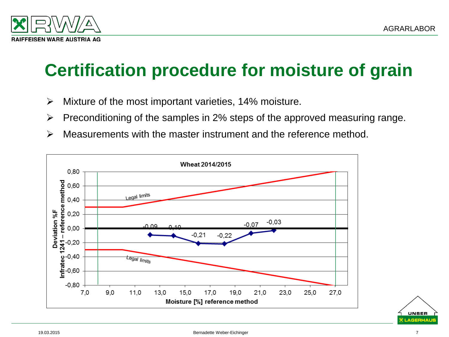

### **Certification procedure for moisture of grain**

- $\triangleright$  Mixture of the most important varieties, 14% moisture.
- $\triangleright$  Preconditioning of the samples in 2% steps of the approved measuring range.
- $\triangleright$  Measurements with the master instrument and the reference method.



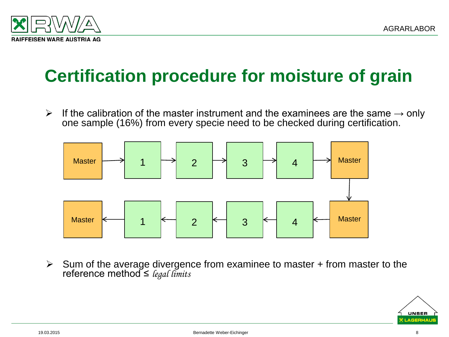

## **Certification procedure for moisture of grain**

 $\triangleright$  If the calibration of the master instrument and the examinees are the same  $\rightarrow$  only one sample (16%) from every specie need to be checked during certification.



 $\triangleright$  Sum of the average divergence from examinee to master + from master to the reference method ≤ *legal limits*

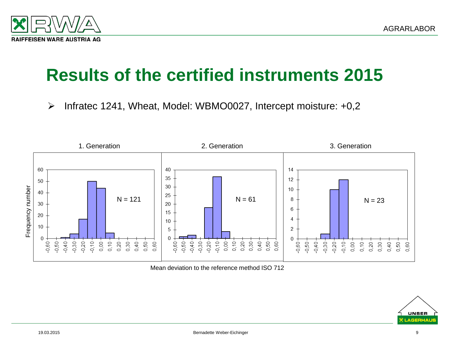



#### **Results of the certified instruments 2015**

 $\triangleright$  Infratec 1241, Wheat, Model: WBMO0027, Intercept moisture: +0,2



Mean deviation to the reference method ISO 712

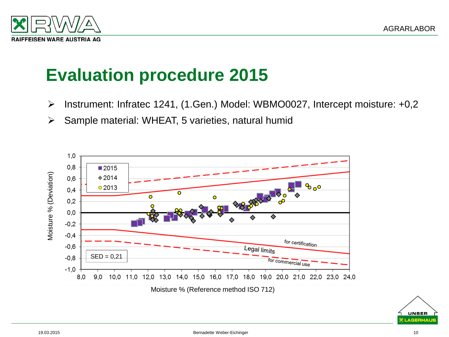

- Instrument: Infratec 1241, (1.Gen.) Model: WBMO0027, Intercept moisture: +0,2
- $\triangleright$  Sample material: WHEAT, 5 varieties, natural humid



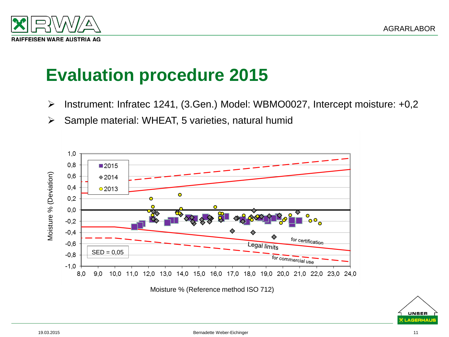

- $\triangleright$  Instrument: Infratec 1241, (3.Gen.) Model: WBMO0027, Intercept moisture: +0,2
- $\triangleright$  Sample material: WHEAT, 5 varieties, natural humid



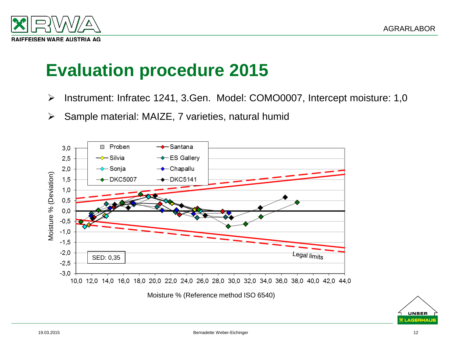

- Instrument: Infratec 1241, 3.Gen. Model: COMO0007, Intercept moisture: 1,0
- $\triangleright$  Sample material: MAIZE, 7 varieties, natural humid



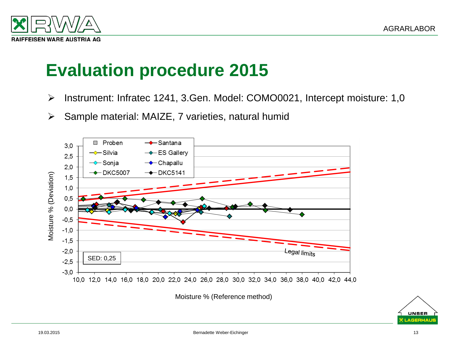

- Instrument: Infratec 1241, 3.Gen. Model: COMO0021, Intercept moisture: 1,0
- $\triangleright$  Sample material: MAIZE, 7 varieties, natural humid



Moisture % (Reference method)

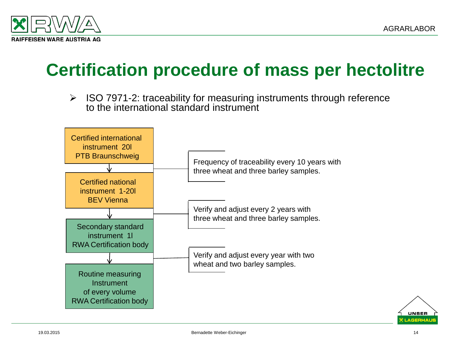

#### **Certification procedure of mass per hectolitre**

 $\triangleright$  ISO 7971-2: traceability for measuring instruments through reference to the international standard instrument



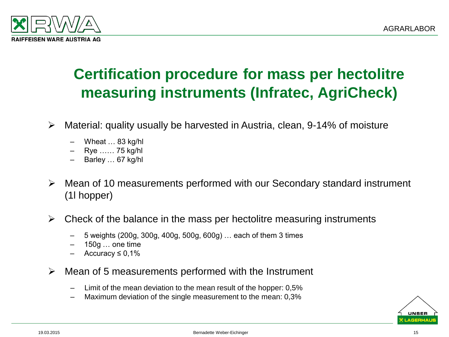

#### **Certification procedure for mass per hectolitre measuring instruments (Infratec, AgriCheck)**

- Material: quality usually be harvested in Austria, clean, 9-14% of moisture
	- Wheat … 83 kg/hl
	- Rye …… 75 kg/hl
	- Barley … 67 kg/hl
- Mean of 10 measurements performed with our Secondary standard instrument (1l hopper)
- $\triangleright$  Check of the balance in the mass per hectolitre measuring instruments
	- 5 weights (200g, 300g, 400g, 500g, 600g) … each of them 3 times
	- $150g...$  one time
	- Accuracy  $\leq 0.1\%$
- $\triangleright$  Mean of 5 measurements performed with the Instrument
	- Limit of the mean deviation to the mean result of the hopper: 0,5%
	- Maximum deviation of the single measurement to the mean: 0,3%